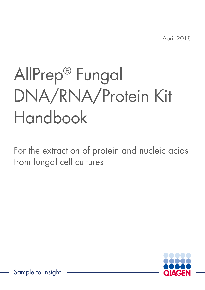April 2018

# AllPrep® Fungal DNA/RNA/Protein Kit Handbook

For the extraction of protein and nucleic acids from fungal cell cultures

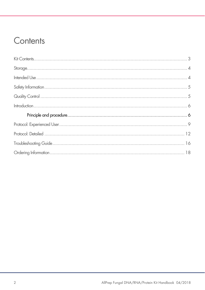### Contents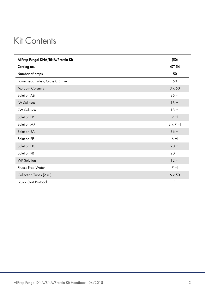### Kit Contents

| AllPrep Fungal DNA/RNA/Protein Kit | (50)            |
|------------------------------------|-----------------|
| Catalog no.                        | 47154           |
| Number of preps                    | 50              |
| PowerBead Tubes, Glass 0.5 mm      | 50              |
| <b>MB Spin Columns</b>             | $3 \times 50$   |
| Solution AB                        | 36 ml           |
| <b>IW Solution</b>                 | $18$ m          |
| <b>RW Solution</b>                 | $18$ ml         |
| Solution EB                        | $9$ ml          |
| Solution MR                        | $2 \times 7$ ml |
| Solution EA                        | 36 ml           |
| Solution PE                        | $6$ m           |
| Solution HC                        | $20$ ml         |
| Solution RB                        | 20 ml           |
| <b>WP Solution</b>                 | $12$ ml         |
| <b>RNase-Free Water</b>            | $7 \text{ ml}$  |
| Collection Tubes (2 ml)            | $6 \times 50$   |
| Quick Start Protocol               | 1               |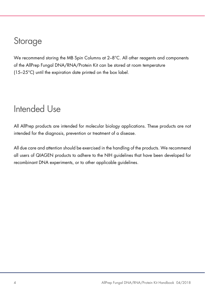### Storage

We recommend storing the MB Spin Columns at 2–8°C. All other reagents and components of the AllPrep Fungal DNA/RNA/Protein Kit can be stored at room temperature (15–25°C) until the expiration date printed on the box label.

### Intended Use

All AllPrep products are intended for molecular biology applications. These products are not intended for the diagnosis, prevention or treatment of a disease.

All due care and attention should be exercised in the handling of the products. We recommend all users of QIAGEN products to adhere to the NIH guidelines that have been developed for recombinant DNA experiments, or to other applicable guidelines.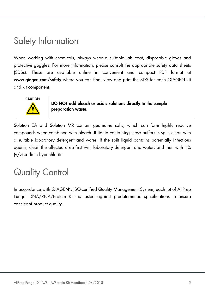# Safety Information

When working with chemicals, always wear a suitable lab coat, disposable gloves and protective goggles. For more information, please consult the appropriate safety data sheets (SDSs). These are available online in convenient and compact PDF format at www.qiagen.com/safety where you can find, view and print the SDS for each QIAGEN kit and kit component.



DO NOT add bleach or acidic solutions directly to the sample preparation waste.

Solution EA and Solution MR contain guanidine salts, which can form highly reactive compounds when combined with bleach. If liquid containing these buffers is spilt, clean with a suitable laboratory detergent and water. If the spilt liquid contains potentially infectious agents, clean the affected area first with laboratory detergent and water, and then with 1% (v/v) sodium hypochlorite.

# Quality Control

In accordance with QIAGEN's ISO-certified Quality Management System, each lot of AllPrep Fungal DNA/RNA/Protein Kits is tested against predetermined specifications to ensure consistent product quality.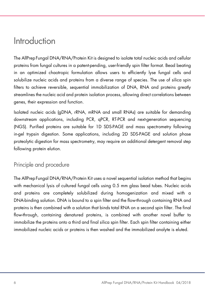### Introduction

The AllPrepFungal DNA/RNA/Protein Kit is designed to isolate total nucleic acids and cellular proteins from fungal cultures in a patent-pending, user-friendly spin filter format. Bead beating in an optimized chaotropic formulation allows users to efficiently lyse fungal cells and solubilize nucleic acids and proteins from a diverse range of species. The use of silica spin filters to achieve reversible, sequential immobilization of DNA, RNA and proteins greatly streamlines the nucleic acid and protein isolation process, allowing direct correlations between genes, their expression and function.

Isolated nucleic acids (gDNA, rRNA, mRNA and small RNAs) are suitable for demanding downstream applications, including PCR, qPCR, RT-PCR and next-generation sequencing (NGS). Purified proteins are suitable for 1D SDS-PAGE and mass spectrometry following in-gel trypsin digestion. Some applications, including 2D SDS-PAGE and solution phase proteolytic digestion for mass spectrometry, may require an additional detergent removal step following protein elution.

### Principle and procedure

The AllPrepFungal DNA/RNA/Protein Kit uses a novel sequential isolation method that begins with mechanical lysis of cultured fungal cells using 0.5 mm glass bead tubes. Nucleic acids and proteins are completely solubilized during homogenization and mixed with a DNA-binding solution. DNA is bound to a spin filter and the flow-through containing RNA and proteins is then combined with a solution that binds total RNA on a second spin filter. The final flow-through, containing denatured proteins, is combined with another novel buffer to immobilize the proteins onto a third and final silica spin filter. Each spin filter containing either immobilized nucleic acids or proteins is then washed and the immobilized analyte is eluted.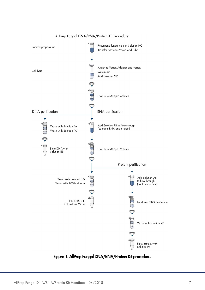

#### AllPrep Fungal DNA/RNA/Protein Kit Procedure

Figure 1. AllPrep Fungal DNA/RNA/Protein Kit procedure.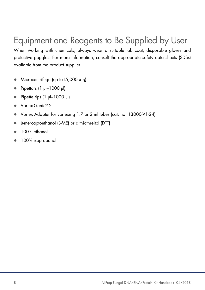# Equipment and Reagents to Be Supplied by User

When working with chemicals, always wear a suitable lab coat, disposable gloves and protective goggles. For more information, consult the appropriate safety data sheets (SDSs) available from the product supplier.

- $\bullet$  Microcentrifuge (up to 15,000 x q)
- Pipettors (1 µl–1000 µl)
- $\bullet$  Pipette tips  $(1 \text{ pl} 1000 \text{ pl})$
- Vortex-Genie® 2
- Vortex Adapter for vortexing 1.7 or 2 ml tubes (cat. no. 13000-V1-24)
- β-mercaptoethanol (β-ME) or dithiothreitol (DTT)
- 100% ethanol
- 100% isopropanol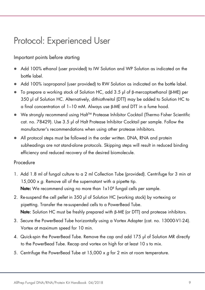# Protocol: Experienced User

### Important points before starting

- Add 100% ethanol (user provided) to IW Solution and WP Solution as indicated on the bottle label.
- Add 100% isopropanol (user provided) to RW Solution as indicated on the bottle label.
- To prepare a working stock of Solution HC, add 3.5 µl of β-mercaptoethanol (β-ME) per 350 µl of Solution HC. Alternatively, dithiothreitol (DTT) may be added to Solution HC to a final concentration of 1–10 mM. Always use β-ME and DTT in a fume hood.
- We strongly recommend using Halt<sup>™</sup> Protease Inhibitor Cocktail (Thermo Fisher Scientific cat. no. 78429). Use 3.5 µl of Halt Protease Inhibitor Cocktail per sample. Follow the manufacturer's recommendations when using other protease inhibitors.
- All protocol steps must be followed in the order written. DNA, RNA and protein subheadings are not stand-alone protocols. Skipping steps will result in reduced binding efficiency and reduced recovery of the desired biomolecule.

### Procedure

- 1. Add 1.8 ml of fungal culture to a 2 ml Collection Tube (provided). Centrifuge for 3 min at 15,000  $\times$  g. Remove all of the supernatant with a pipette tip. **Note:** We recommend using no more than 1x10<sup>8</sup> fungal cells per sample.
- 2. Re-suspend the cell pellet in 350 µl of Solution HC (working stock) by vortexing or pipetting. Transfer the re-suspended cells to a PowerBead Tube. Note: Solution HC must be freshly prepared with β-ME (or DTT) and protease inhibitors.
- 3. Secure the PowerBead Tube horizontally using a Vortex Adapter (cat. no. 13000-V1-24). Vortex at maximum speed for 10 min.
- 4. Quick-spin the PowerBead Tube. Remove the cap and add 175 µl of Solution MR directly to the PowerBead Tube. Recap and vortex on high for at least 10 s to mix.
- 5. Centrifuge the PowerBead Tube at 15,000 x g for 2 min at room temperature.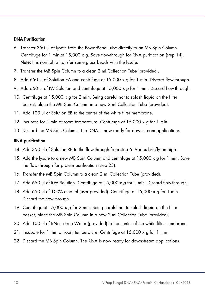#### DNA Purification

- 6. Transfer 350 µl of lysate from the PowerBead Tube directly to an MB Spin Column. Centrifuge for 1 min at  $15,000 \times q$ . Save flow-through for RNA purification (step 14). Note: It is normal to transfer some glass beads with the lysate.
- 7. Transfer the MB Spin Column to a clean 2 ml Collection Tube (provided).
- 8. Add 650 µl of Solution EA and centrifuge at 15,000 x a for 1 min. Discard flow-through.
- 9. Add 650 µl of IW Solution and centrifuge at  $15,000 \times g$  for 1 min. Discard flow-through.
- 10. Centrifuge at 15,000 x g for 2 min. Being careful not to splash liquid on the filter basket, place the MB Spin Column in a new 2 ml Collection Tube (provided).
- 11. Add 100 µl of Solution EB to the center of the white filter membrane.
- 12. Incubate for 1 min at room temperature. Centrifuge at 15,000 x g for 1 min.
- 13. Discard the MB Spin Column. The DNA is now ready for downstream applications.

#### RNA purification

- 14. Add 350 µl of Solution RB to the flow-through from step 6. Vortex briefly on high.
- 15. Add the lysate to a new MB Spin Column and centrifuge at  $15,000 \times g$  for 1 min. Save the flow-through for protein purification (step 23).
- 16. Transfer the MB Spin Column to a clean 2 ml Collection Tube (provided).
- 17. Add 650 µl of RW Solution. Centrifuge at  $15,000 \times g$  for 1 min. Discard flow-through.
- 18. Add 650 µl of 100% ethanol (user provided). Centrifuge at 15,000  $\times$  g for 1 min. Discard the flow-through.
- 19. Centrifuge at 15,000  $\times$  g for 2 min. Being careful not to splash liquid on the filter basket, place the MB Spin Column in a new 2 ml Collection Tube (provided).
- 20. Add 100 µl of RNase-Free Water (provided) to the center of the white filter membrane.
- 21. Incubate for 1 min at room temperature. Centrifuge at  $15,000 \times q$  for 1 min.
- 22. Discard the MB Spin Column. The RNA is now ready for downstream applications.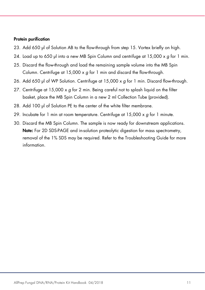#### Protein purification

- 23. Add 650 µl of Solution AB to the flow-through from step 15. Vortex briefly on high.
- 24. Load up to 650 µl into a new MB Spin Column and centrifuge at  $15,000 \times g$  for 1 min.
- 25. Discard the flow-through and load the remaining sample volume into the MB Spin Column. Centrifuge at  $15,000 \times a$  for 1 min and discard the flow-through.
- 26. Add 650 µl of WP Solution. Centrifuge at 15,000 x q for 1 min. Discard flow-through.
- 27. Centrifuge at  $15,000 \times g$  for 2 min. Being careful not to splash liquid on the filter basket, place the MB Spin Column in a new 2 ml Collection Tube (provided).
- 28. Add 100 µl of Solution PE to the center of the white filter membrane.
- 29. Incubate for 1 min at room temperature. Centrifuge at  $15,000 \times g$  for 1 minute.
- 30. Discard the MB Spin Column. The sample is now ready for downstream applications. Note: For 2D SDS-PAGE and in-solution proteolytic digestion for mass spectrometry, removal of the 1% SDS may be required. Refer to the Troubleshooting Guide for more information.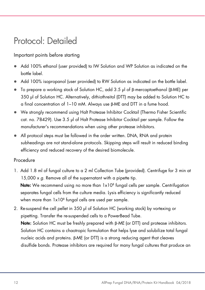### Protocol: Detailed

### Important points before starting

- Add 100% ethanol (user provided) to IW Solution and WP Solution as indicated on the bottle label.
- Add 100% isopropanol (user provided) to RW Solution as indicated on the bottle label.
- To prepare a working stock of Solution HC, add 3.5 µl of β-mercaptoethanol (β-ME) per 350 µl of Solution HC. Alternatively, dithiothreitol (DTT) may be added to Solution HC to a final concentration of 1–10 mM. Always use β-ME and DTT in a fume hood.
- We strongly recommend using Halt Protease Inhibitor Cocktail (Thermo Fisher Scientific cat. no. 78429). Use 3.5 µl of Halt Protease Inhibitor Cocktail per sample. Follow the manufacturer's recommendations when using other protease inhibitors.
- All protocol steps must be followed in the order written. DNA, RNA and protein subheadings are not stand-alone protocols. Skipping steps will result in reduced binding efficiency and reduced recovery of the desired biomolecule.

#### Procedure

1. Add 1.8 ml of fungal culture to a 2 ml Collection Tube (provided). Centrifuge for 3 min at 15,000 x g. Remove all of the supernatant with a pipette tip.

**Note:** We recommend using no more than 1x10<sup>8</sup> fungal cells per sample. Centrifugation separates fungal cells from the culture media. Lysis efficiency is significantly reduced when more than  $1 \times 10^8$  fungal cells are used per sample.

2. Re-suspend the cell pellet in 350 µl of Solution HC (working stock) by vortexing or pipetting. Transfer the re-suspended cells to a PowerBead Tube. Note: Solution HC must be freshly prepared with β-ME (or DTT) and protease inhibitors. Solution HC contains a chaotropic formulation that helps lyse and solubilize total fungal nucleic acids and proteins. β-ME (or DTT) is a strong reducing agent that cleaves disulfide bonds. Protease inhibitors are required for many fungal cultures that produce an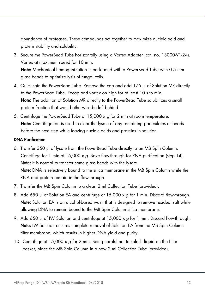abundance of proteases. These compounds act together to maximize nucleic acid and protein stability and solubility.

3. Secure the PowerBead Tube horizontally using a Vortex Adapter (cat. no. 13000-V1-24). Vortex at maximum speed for 10 min.

Note: Mechanical homogenization is performed with a PowerBead Tube with 0.5 mm glass beads to optimize lysis of fungal cells.

- 4. Quick-spin the PowerBead Tube. Remove the cap and add 175 µl of Solution MR directly to the PowerBead Tube. Recap and vortex on high for at least 10 s to mix. Note: The addition of Solution MR directly to the PowerBead Tube solubilizes a small protein fraction that would otherwise be left behind.
- 5. Centrifuge the PowerBead Tube at 15,000 x g for 2 min at room temperature. Note: Centrifugation is used to clear the lysate of any remaining particulates or beads before the next step while leaving nucleic acids and proteins in solution.

#### DNA Purification

- 6. Transfer 350 µl of lysate from the PowerBead Tube directly to an MB Spin Column. Centrifuge for 1 min at 15,000 x g. Save flow-through for RNA purification (step 14). Note: It is normal to transfer some glass beads with the lysate. Note: DNA is selectively bound to the silica membrane in the MB Spin Column while the RNA and protein remain in the flow-through.
- 7. Transfer the MB Spin Column to a clean 2 ml Collection Tube (provided).
- 8. Add 650 µl of Solution EA and centrifuge at 15,000 x g for 1 min. Discard flow-through. Note: Solution EA is an alcohol-based wash that is designed to remove residual salt while allowing DNA to remain bound to the MB Spin Column silica membrane.
- 9. Add 650 µl of IW Solution and centrifuge at 15,000  $\times$  g for 1 min. Discard flow-through. Note: IW Solution ensures complete removal of Solution EA from the MB Spin Column filter membrane, which results in higher DNA yield and purity.
- 10. Centrifuge at 15,000 x g for 2 min. Being careful not to splash liquid on the filter basket, place the MB Spin Column in a new 2 ml Collection Tube (provided).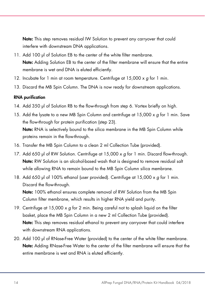Note: This step removes residual IW Solution to prevent any carryover that could interfere with downstream DNA applications.

- 11. Add 100 µl of Solution EB to the center of the white filter membrane. Note: Adding Solution EB to the center of the filter membrane will ensure that the entire membrane is wet and DNA is eluted efficiently.
- 12. Incubate for 1 min at room temperature. Centrifuge at  $15,000 \times g$  for 1 min.
- 13. Discard the MB Spin Column. The DNA is now ready for downstream applications.

### RNA purification

- 14. Add 350 µl of Solution RB to the flow-through from step 6. Vortex briefly on high.
- 15. Add the lysate to a new MB Spin Column and centrifuge at  $15,000 \times g$  for 1 min. Save the flow-through for protein purification (step 23). Note: RNA is selectively bound to the silica membrane in the MB Spin Column while proteins remain in the flow-through.
- 16. Transfer the MB Spin Column to a clean 2 ml Collection Tube (provided).
- 17. Add 650 µl of RW Solution. Centrifuge at  $15,000 \times g$  for 1 min. Discard flow-through. Note: RW Solution is an alcohol-based wash that is designed to remove residual salt while allowing RNA to remain bound to the MB Spin Column silica membrane.
- 18. Add 650 µl of 100% ethanol (user provided). Centrifuge at 15,000  $\times g$  for 1 min. Discard the flow-through.

Note: 100% ethanol ensures complete removal of RW Solution from the MB Spin Column filter membrane, which results in higher RNA yield and purity.

- 19. Centrifuge at 15,000  $\times$  g for 2 min. Being careful not to splash liquid on the filter basket, place the MB Spin Column in a new 2 ml Collection Tube (provided). Note: This step removes residual ethanol to prevent any carryover that could interfere with downstream RNA applications.
- 20. Add 100 µl of RNase-Free Water (provided) to the center of the white filter membrane. Note: Adding RNase-Free Water to the center of the filter membrane will ensure that the entire membrane is wet and RNA is eluted efficiently.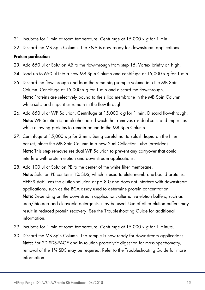- 21. Incubate for 1 min at room temperature. Centrifuge at  $15,000 \times q$  for 1 min.
- 22. Discard the MB Spin Column. The RNA is now ready for downstream applications.

#### Protein purification

- 23. Add 650 µl of Solution AB to the flow-through from step 15. Vortex briefly on high.
- 24. Load up to 650 µl into a new MB Spin Column and centrifuge at  $15,000 \times g$  for 1 min.
- 25. Discard the flow-through and load the remaining sample volume into the MB Spin Column. Centrifuge at  $15,000 \times q$  for 1 min and discard the flow-through. Note: Proteins are selectively bound to the silica membrane in the MB Spin Column while salts and impurities remain in the flow-through.
- 26. Add 650 µl of WP Solution. Centrifuge at 15,000 x q for 1 min. Discard flow-through. Note: WP Solution is an alcohol-based wash that removes residual salts and impurities while allowing proteins to remain bound to the MB Spin Column.
- 27. Centrifuge at  $15,000 \times g$  for 2 min. Being careful not to splash liquid on the filter basket, place the MB Spin Column in a new 2 ml Collection Tube (provided). Note: This step removes residual WP Solution to prevent any carryover that could interfere with protein elution and downstream applications.
- 28. Add 100 µl of Solution PE to the center of the white filter membrane. Note: Solution PE contains 1% SDS, which is used to elute membrane-bound proteins. HEPES stabilizes the elution solution at pH 8.0 and does not interfere with downstream applications, such as the BCA assay used to determine protein concentration. Note: Depending on the downstream application, alternative elution buffers, such as urea/thiourea and cleavable detergents, may be used. Use of other elution buffers may result in reduced protein recovery. See the Troubleshooting Guide for additional information.
- 29. Incubate for 1 min at room temperature. Centrifuge at  $15,000 \times g$  for 1 minute.
- 30. Discard the MB Spin Column. The sample is now ready for downstream applications. Note: For 2D SDS-PAGE and in-solution proteolytic digestion for mass spectrometry, removal of the 1% SDS may be required. Refer to the Troubleshooting Guide for more information.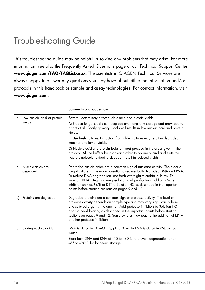### Troubleshooting Guide

This troubleshooting guide may be helpful in solving any problems that may arise. For more information, see also the Frequently Asked Questions page at our Technical Support Center: www.qiagen.com/FAQ/FAQList.aspx. The scientists in QIAGEN Technical Services are always happy to answer any questions you may have about either the information and/or protocols in this handbook or sample and assay technologies. For contact information, visit www.qiagen.com.

|    | a) Low nucleic acid or protein<br>yields | Several factors may affect nucleic acid and protein yields:                                                                                                                                                                                                                                                                                                                                                                                             |
|----|------------------------------------------|---------------------------------------------------------------------------------------------------------------------------------------------------------------------------------------------------------------------------------------------------------------------------------------------------------------------------------------------------------------------------------------------------------------------------------------------------------|
|    |                                          | A) Frozen fungal stocks can degrade over long-term storage and grow poorly<br>or not at all. Poorly growing stocks will results in low nucleic acid and protein<br>yields.                                                                                                                                                                                                                                                                              |
|    |                                          | B) Use fresh cultures. Extraction from older cultures may result in degraded<br>material and lower yields.                                                                                                                                                                                                                                                                                                                                              |
|    |                                          | C) Nucleic acid and protein isolation must proceed in the order given in the<br>protocol. All the buffers build on each other to optimally bind and elute the<br>next biomolecule. Skipping steps can result in reduced yields.                                                                                                                                                                                                                         |
| b) | Nucleic acids are<br>degraded            | Degraded nucleic acids are a common sign of nuclease activity. The older a<br>fungal culture is, the more potential to recover both degraded DNA and RNA.<br>To reduce DNA degradation, use fresh overnight microbial cultures. To<br>maintain RNA integrity during isolation and purification, add an RNase<br>inhibitor such as $\beta$ -ME or DTT to Solution HC as described in the Important<br>points before starting sections on pages 9 and 12. |
| c) | Proteins are degraded                    | Degraded proteins are a common sign of protease activity. The level of<br>protease activity depends on sample type and may vary significantly from<br>one cultured organism to another. Add protease inhibitors to Solution HC<br>prior to bead beating as described in the Important points before starting<br>sections on pages 9 and 12. Some cultures may require the addition of EDTA<br>or other protease inhibitors.                             |
| d) | Storing nucleic acids                    | DNA is eluted in 10 mM Tris, pH 8.0, while RNA is eluted in RNase-free<br>water.                                                                                                                                                                                                                                                                                                                                                                        |
|    |                                          | Store both DNA and RNA at -15 to -30°C to prevent degradation or at<br>-65 to -90°C for long-term storage.                                                                                                                                                                                                                                                                                                                                              |

#### Comments and suggestions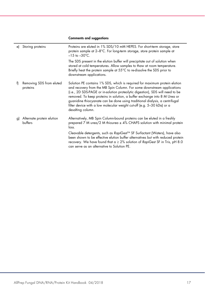#### Comments and suggestions

| e) | Storing proteins                     | Proteins are eluted in 1% SDS/10 mM HEPES. For short-term storage, store<br>protein sample at 2-8°C. For long-term storage, store protein sample at<br>$-15$ to $-30^{\circ}$ C.                                                                                                                                                                                                                                                                                                                 |
|----|--------------------------------------|--------------------------------------------------------------------------------------------------------------------------------------------------------------------------------------------------------------------------------------------------------------------------------------------------------------------------------------------------------------------------------------------------------------------------------------------------------------------------------------------------|
|    |                                      | The SDS present in the elution buffer will precipitate out of solution when<br>stored at cold temperatures. Allow samples to thaw at room temperature.<br>Briefly heat the protein sample at 55°C to re-dissolve the SDS prior to<br>downstream applications.                                                                                                                                                                                                                                    |
| f) | Removing SDS from eluted<br>proteins | Solution PE contains 1% SDS, which is required for maximum protein elution<br>and recovery from the MB Spin Column. For some downstream applications<br>(i.e., 2D SDS-PAGE or in-solution proteolytic digestion), SDS will need to be<br>removed. To keep proteins in solution, a buffer exchange into 8 M Urea or<br>guanidine thiocyanate can be done using traditional dialysis, a centrifugal<br>filter device with a low molecular weight cut-off (e.g. 5-30 kDa) or a<br>desalting column. |
| g) | Alternate protein elution<br>buffers | Alternatively, MB Spin Column-bound proteins can be eluted in a freshly<br>prepared 7 M urea/2 M thiourea $\pm$ 4% CHAPS solution with minimal protein<br>loss.                                                                                                                                                                                                                                                                                                                                  |
|    |                                      | Cleavable detergents, such as RapiGest™ SF Surfactant (Waters), have also<br>been shown to be effective elution buffer alternatives but with reduced protein<br>recovery. We have found that $a \ge 2\%$ solution of RapiGest SF in Tris, pH 8.0<br>can serve as an alternative to Solution PE.                                                                                                                                                                                                  |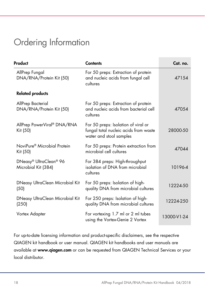# Ordering Information

| Product                                             | <b>Contents</b>                                                                                         | Cat. no.    |
|-----------------------------------------------------|---------------------------------------------------------------------------------------------------------|-------------|
| AllPrep Fungal<br>DNA/RNA/Protein Kit (50)          | For 50 preps: Extraction of protein<br>and nucleic acids from fungal cell<br>cultures                   | 47154       |
| <b>Related products</b>                             |                                                                                                         |             |
| AllPrep Bacterial<br>DNA/RNA/Protein Kit (50)       | For 50 preps: Extraction of protein<br>and nucleic acids from bacterial cell<br>cultures                | 47054       |
| AllPrep PowerViral® DNA/RNA<br>Kit (50)             | For 50 preps: Isolation of viral or<br>fungal total nucleic acids from waste<br>water and stool samples | 28000-50    |
| NoviPure <sup>®</sup> Microbial Protein<br>Kit (50) | For 50 preps: Protein extraction from<br>microbial cell cultures                                        | 47044       |
| DNeasy® UltraClean® 96<br>Microbial Kit (384)       | For 384 preps: High-throughput<br>isolation of DNA from microbial<br>cultures                           | 10196-4     |
| DNeasy UltraClean Microbial Kit<br>(50)             | For 50 preps: Isolation of high-<br>quality DNA from microbial cultures                                 | 12224-50    |
| DNeasy UltraClean Microbial Kit<br>(250)            | For 250 preps: Isolation of high-<br>quality DNA from microbial cultures                                | 12224-250   |
| Vortex Adapter                                      | For vortexing 1.7 ml or 2 ml tubes<br>using the Vortex-Genie 2 Vortex                                   | 13000-V1-24 |

For up-to-date licensing information and product-specific disclaimers, see the respective QIAGEN kit handbook or user manual. QIAGEN kit handbooks and user manuals are available at www.qiagen.com or can be requested from QIAGEN Technical Services or your local distributor.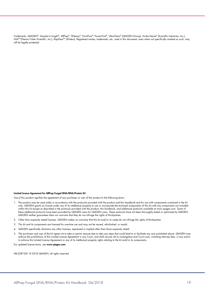Trademarks: QIAGEN®, Sample to Insight®, AllPrep®, DNeasy®, NoviPure®, PowerViral®, UltraClean® (QIAGEN Group); Vortex-Genie® (Scientific Industries, Inc.); Halt<sup>TM</sup> (Thermo Fisher Scientific, Inc.); RapiGest<sup>TM</sup> (Waters). Registered names, trademarks, etc. used in this document, even when not specifically marked as such, may still be legally protected.

#### Limited License Agreement for AllPrep Fungal DNA/RNA/Protein Kit

Use of this product signifies the agreement of any purchaser or user of the product to the following terms:

- 1. The product may be used solely in accordance with the protocols provided with the product and this handbook and for use with components contained in the kit only. QIAGEN grants no license under any of its intellectual property to use or incorporate the enclosed components of this kit with any components not included within this kit except as described in the protocols provided with the product, this handbook, and additional protocols available at www.qiagen.com. Some of these additional protocols have been provided by QIAGEN users for QIAGEN users. These protocols have not been thoroughly tested or optimized by QIAGEN. QIAGEN neither guarantees them nor warrants that they do not infringe the rights of third-parties.
- 2. Other than expressly stated licenses, QIAGEN makes no warranty that this kit and/or its use(s) do not infringe the rights of third-parties.
- 3. This kit and its components are licensed for one-time use and may not be reused, refurbished, or resold.
- 4. QIAGEN specifically disclaims any other licenses, expressed or implied other than those expressly stated.
- 5. The purchaser and user of the kit agree not to take or permit anyone else to take any steps that could lead to or facilitate any acts prohibited above. QIAGEN may enforce the prohibitions of this Limited License Agreement in any Court, and shall recover all its investigative and Court costs, including attorney fees, in any action to enforce this Limited License Agreement or any of its intellectual property rights relating to the kit and/or its components.

For updated license terms, see www.qiagen.com.

HB-2287-001 © 2018 QIAGEN, all rights reserved.